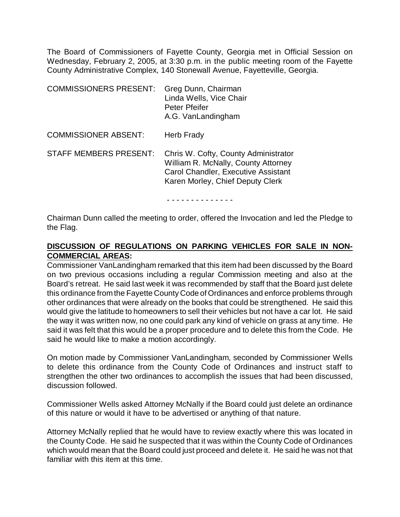The Board of Commissioners of Fayette County, Georgia met in Official Session on Wednesday, February 2, 2005, at 3:30 p.m. in the public meeting room of the Fayette County Administrative Complex, 140 Stonewall Avenue, Fayetteville, Georgia.

| <b>COMMISSIONERS PRESENT:</b> | Greg Dunn, Chairman<br>Linda Wells, Vice Chair<br>Peter Pfeifer<br>A.G. VanLandingham                                                                         |
|-------------------------------|---------------------------------------------------------------------------------------------------------------------------------------------------------------|
| <b>COMMISSIONER ABSENT:</b>   | Herb Frady                                                                                                                                                    |
| <b>STAFF MEMBERS PRESENT:</b> | Chris W. Cofty, County Administrator<br>William R. McNally, County Attorney<br><b>Carol Chandler, Executive Assistant</b><br>Karen Morley, Chief Deputy Clerk |

- - - - - - - - - - - - - -

Chairman Dunn called the meeting to order, offered the Invocation and led the Pledge to the Flag.

# **DISCUSSION OF REGULATIONS ON PARKING VEHICLES FOR SALE IN NON-COMMERCIAL AREAS:**

Commissioner VanLandingham remarked that this item had been discussed by the Board on two previous occasions including a regular Commission meeting and also at the Board's retreat. He said last week it was recommended by staff that the Board just delete this ordinance from the Fayette County Code of Ordinances and enforce problems through other ordinances that were already on the books that could be strengthened. He said this would give the latitude to homeowners to sell their vehicles but not have a car lot. He said the way it was written now, no one could park any kind of vehicle on grass at any time. He said it was felt that this would be a proper procedure and to delete this from the Code. He said he would like to make a motion accordingly.

On motion made by Commissioner VanLandingham, seconded by Commissioner Wells to delete this ordinance from the County Code of Ordinances and instruct staff to strengthen the other two ordinances to accomplish the issues that had been discussed, discussion followed.

Commissioner Wells asked Attorney McNally if the Board could just delete an ordinance of this nature or would it have to be advertised or anything of that nature.

Attorney McNally replied that he would have to review exactly where this was located in the County Code. He said he suspected that it was within the County Code of Ordinances which would mean that the Board could just proceed and delete it. He said he was not that familiar with this item at this time.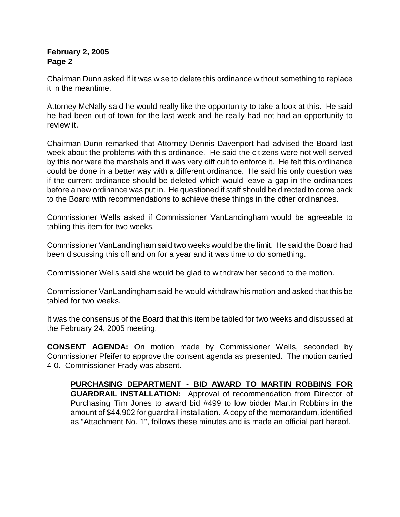## **February 2, 2005 Page 2**

Chairman Dunn asked if it was wise to delete this ordinance without something to replace it in the meantime.

Attorney McNally said he would really like the opportunity to take a look at this. He said he had been out of town for the last week and he really had not had an opportunity to review it.

Chairman Dunn remarked that Attorney Dennis Davenport had advised the Board last week about the problems with this ordinance. He said the citizens were not well served by this nor were the marshals and it was very difficult to enforce it. He felt this ordinance could be done in a better way with a different ordinance. He said his only question was if the current ordinance should be deleted which would leave a gap in the ordinances before a new ordinance was put in. He questioned if staff should be directed to come back to the Board with recommendations to achieve these things in the other ordinances.

Commissioner Wells asked if Commissioner VanLandingham would be agreeable to tabling this item for two weeks.

Commissioner VanLandingham said two weeks would be the limit. He said the Board had been discussing this off and on for a year and it was time to do something.

Commissioner Wells said she would be glad to withdraw her second to the motion.

Commissioner VanLandingham said he would withdraw his motion and asked that this be tabled for two weeks.

It was the consensus of the Board that this item be tabled for two weeks and discussed at the February 24, 2005 meeting.

**CONSENT AGENDA:** On motion made by Commissioner Wells, seconded by Commissioner Pfeifer to approve the consent agenda as presented. The motion carried 4-0. Commissioner Frady was absent.

**PURCHASING DEPARTMENT - BID AWARD TO MARTIN ROBBINS FOR GUARDRAIL INSTALLATION:** Approval of recommendation from Director of Purchasing Tim Jones to award bid #499 to low bidder Martin Robbins in the amount of \$44,902 for guardrail installation. A copy of the memorandum, identified as "Attachment No. 1", follows these minutes and is made an official part hereof.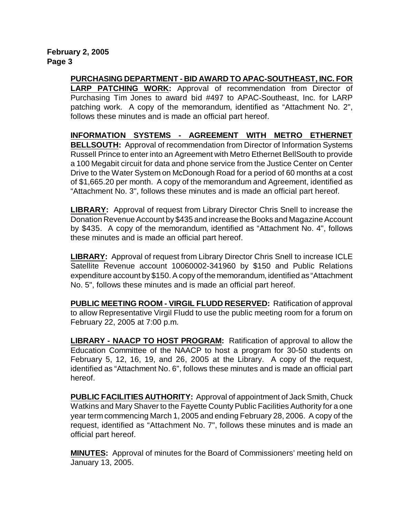**February 2, 2005 Page 3**

> **PURCHASING DEPARTMENT - BID AWARD TO APAC-SOUTHEAST, INC. FOR LARP PATCHING WORK:** Approval of recommendation from Director of Purchasing Tim Jones to award bid #497 to APAC-Southeast, Inc. for LARP patching work. A copy of the memorandum, identified as "Attachment No. 2", follows these minutes and is made an official part hereof.

> **INFORMATION SYSTEMS - AGREEMENT WITH METRO ETHERNET BELLSOUTH:** Approval of recommendation from Director of Information Systems Russell Prince to enter into an Agreement with Metro Ethernet BellSouth to provide a 100 Megabit circuit for data and phone service from the Justice Center on Center Drive to the Water System on McDonough Road for a period of 60 months at a cost of \$1,665.20 per month. A copy of the memorandum and Agreement, identified as "Attachment No. 3", follows these minutes and is made an official part hereof.

> **LIBRARY:** Approval of request from Library Director Chris Snell to increase the Donation Revenue Account by \$435 and increase the Books and Magazine Account by \$435. A copy of the memorandum, identified as "Attachment No. 4", follows these minutes and is made an official part hereof.

> **LIBRARY:** Approval of request from Library Director Chris Snell to increase ICLE Satellite Revenue account 10060002-341960 by \$150 and Public Relations expenditure account by \$150. A copy of the memorandum, identified as "Attachment No. 5", follows these minutes and is made an official part hereof.

> **PUBLIC MEETING ROOM - VIRGIL FLUDD RESERVED:** Ratification of approval to allow Representative Virgil Fludd to use the public meeting room for a forum on February 22, 2005 at 7:00 p.m.

> **LIBRARY - NAACP TO HOST PROGRAM:** Ratification of approval to allow the Education Committee of the NAACP to host a program for 30-50 students on February 5, 12, 16, 19, and 26, 2005 at the Library. A copy of the request, identified as "Attachment No. 6", follows these minutes and is made an official part hereof.

> **PUBLIC FACILITIES AUTHORITY:** Approval of appointment of Jack Smith, Chuck Watkins and Mary Shaver to the Fayette County Public Facilities Authority for a one year term commencing March 1, 2005 and ending February 28, 2006.A copy of the request, identified as "Attachment No. 7", follows these minutes and is made an official part hereof.

> **MINUTES:** Approval of minutes for the Board of Commissioners' meeting held on January 13, 2005.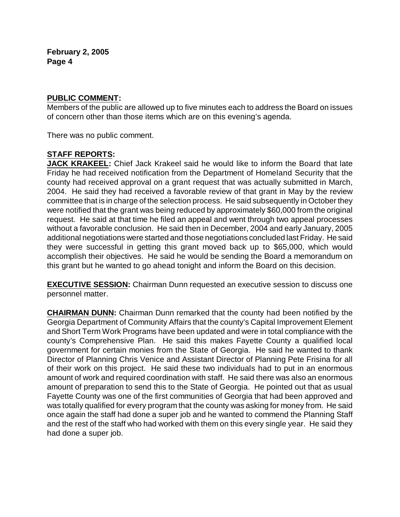#### **PUBLIC COMMENT:**

Members of the public are allowed up to five minutes each to address the Board on issues of concern other than those items which are on this evening's agenda.

There was no public comment.

# **STAFF REPORTS:**

**JACK KRAKEEL:** Chief Jack Krakeel said he would like to inform the Board that late Friday he had received notification from the Department of Homeland Security that the county had received approval on a grant request that was actually submitted in March, 2004. He said they had received a favorable review of that grant in May by the review committee that is in charge of the selection process. He said subsequently in October they were notified that the grant was being reduced by approximately \$60,000 from the original request. He said at that time he filed an appeal and went through two appeal processes without a favorable conclusion. He said then in December, 2004 and early January, 2005 additional negotiations were started and those negotiations concluded last Friday. He said they were successful in getting this grant moved back up to \$65,000, which would accomplish their objectives. He said he would be sending the Board a memorandum on this grant but he wanted to go ahead tonight and inform the Board on this decision.

**EXECUTIVE SESSION:** Chairman Dunn requested an executive session to discuss one personnel matter.

**CHAIRMAN DUNN:** Chairman Dunn remarked that the county had been notified by the Georgia Department of Community Affairs that the county's Capital Improvement Element and Short Term Work Programs have been updated and were in total compliance with the county's Comprehensive Plan. He said this makes Fayette County a qualified local government for certain monies from the State of Georgia. He said he wanted to thank Director of Planning Chris Venice and Assistant Director of Planning Pete Frisina for all of their work on this project. He said these two individuals had to put in an enormous amount of work and required coordination with staff. He said there was also an enormous amount of preparation to send this to the State of Georgia. He pointed out that as usual Fayette County was one of the first communities of Georgia that had been approved and was totally qualified for every program that the county was asking for money from. He said once again the staff had done a super job and he wanted to commend the Planning Staff and the rest of the staff who had worked with them on this every single year. He said they had done a super job.